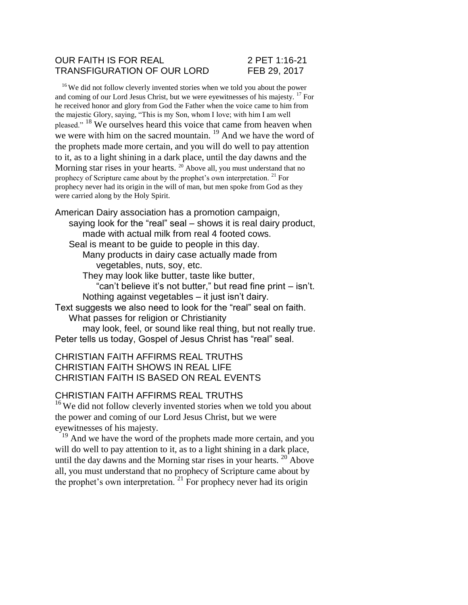### OUR FAITH IS FOR REAL 2 PET 1:16-21 TRANSFIGURATION OF OUR LORD FEB 29, 2017

<sup>16</sup> We did not follow cleverly invented stories when we told you about the power and coming of our Lord Jesus Christ, but we were eyewitnesses of his majesty. <sup>17</sup> For he received honor and glory from God the Father when the voice came to him from the majestic Glory, saying, "This is my Son, whom I love; with him I am well pleased." <sup>18</sup> We ourselves heard this voice that came from heaven when we were with him on the sacred mountain.<sup>19</sup> And we have the word of the prophets made more certain, and you will do well to pay attention to it, as to a light shining in a dark place, until the day dawns and the Morning star rises in your hearts.  $20$  Above all, you must understand that no prophecy of Scripture came about by the prophet's own interpretation. <sup>21</sup> For prophecy never had its origin in the will of man, but men spoke from God as they were carried along by the Holy Spirit.

American Dairy association has a promotion campaign, saying look for the "real" seal – shows it is real dairy product, made with actual milk from real 4 footed cows. Seal is meant to be guide to people in this day. Many products in dairy case actually made from vegetables, nuts, soy, etc. They may look like butter, taste like butter, "can't believe it's not butter," but read fine print – isn't. Nothing against vegetables – it just isn't dairy. Text suggests we also need to look for the "real" seal on faith.

What passes for religion or Christianity

may look, feel, or sound like real thing, but not really true. Peter tells us today, Gospel of Jesus Christ has "real" seal.

## CHRISTIAN FAITH AFFIRMS REAL TRUTHS CHRISTIAN FAITH SHOWS IN REAL LIFE CHRISTIAN FAITH IS BASED ON REAL EVENTS

## CHRISTIAN FAITH AFFIRMS REAL TRUTHS

<sup>16</sup> We did not follow cleverly invented stories when we told you about the power and coming of our Lord Jesus Christ, but we were eyewitnesses of his majesty.

<sup>19</sup> And we have the word of the prophets made more certain, and you will do well to pay attention to it, as to a light shining in a dark place, until the day dawns and the Morning star rises in your hearts. <sup>20</sup> Above all, you must understand that no prophecy of Scripture came about by the prophet's own interpretation.<sup>21</sup> For prophecy never had its origin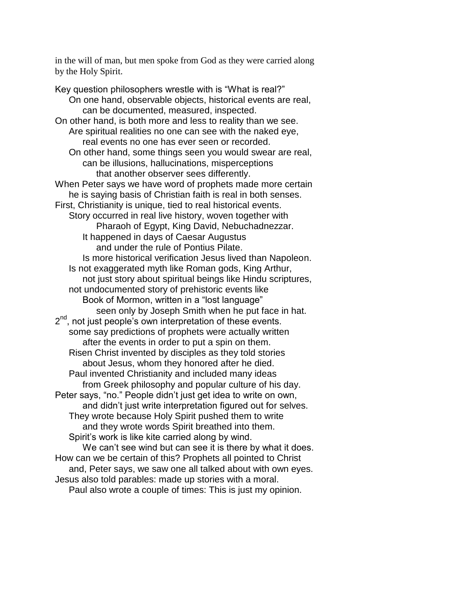in the will of man, but men spoke from God as they were carried along by the Holy Spirit.

Key question philosophers wrestle with is "What is real?" On one hand, observable objects, historical events are real, can be documented, measured, inspected. On other hand, is both more and less to reality than we see. Are spiritual realities no one can see with the naked eye, real events no one has ever seen or recorded. On other hand, some things seen you would swear are real, can be illusions, hallucinations, misperceptions that another observer sees differently. When Peter says we have word of prophets made more certain he is saying basis of Christian faith is real in both senses. First, Christianity is unique, tied to real historical events. Story occurred in real live history, woven together with Pharaoh of Egypt, King David, Nebuchadnezzar. It happened in days of Caesar Augustus and under the rule of Pontius Pilate. Is more historical verification Jesus lived than Napoleon. Is not exaggerated myth like Roman gods, King Arthur, not just story about spiritual beings like Hindu scriptures, not undocumented story of prehistoric events like Book of Mormon, written in a "lost language" seen only by Joseph Smith when he put face in hat. 2<sup>nd</sup>, not just people's own interpretation of these events. some say predictions of prophets were actually written after the events in order to put a spin on them. Risen Christ invented by disciples as they told stories about Jesus, whom they honored after he died. Paul invented Christianity and included many ideas from Greek philosophy and popular culture of his day. Peter says, "no." People didn't just get idea to write on own, and didn't just write interpretation figured out for selves. They wrote because Holy Spirit pushed them to write and they wrote words Spirit breathed into them. Spirit's work is like kite carried along by wind. We can't see wind but can see it is there by what it does. How can we be certain of this? Prophets all pointed to Christ and, Peter says, we saw one all talked about with own eyes.

Jesus also told parables: made up stories with a moral.

Paul also wrote a couple of times: This is just my opinion.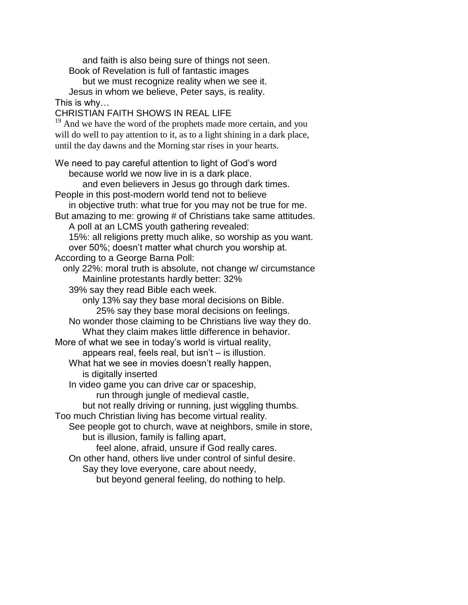and faith is also being sure of things not seen. Book of Revelation is full of fantastic images

but we must recognize reality when we see it. Jesus in whom we believe, Peter says, is reality. This is why…

CHRISTIAN FAITH SHOWS IN REAL LIFE

 $19$  And we have the word of the prophets made more certain, and you will do well to pay attention to it, as to a light shining in a dark place, until the day dawns and the Morning star rises in your hearts.

We need to pay careful attention to light of God's word because world we now live in is a dark place. and even believers in Jesus go through dark times. People in this post-modern world tend not to believe in objective truth: what true for you may not be true for me. But amazing to me: growing # of Christians take same attitudes. A poll at an LCMS youth gathering revealed: 15%: all religions pretty much alike, so worship as you want. over 50%; doesn't matter what church you worship at. According to a George Barna Poll: only 22%: moral truth is absolute, not change w/ circumstance Mainline protestants hardly better: 32% 39% say they read Bible each week. only 13% say they base moral decisions on Bible. 25% say they base moral decisions on feelings. No wonder those claiming to be Christians live way they do. What they claim makes little difference in behavior. More of what we see in today's world is virtual reality, appears real, feels real, but isn't – is illustion. What hat we see in movies doesn't really happen, is digitally inserted In video game you can drive car or spaceship, run through jungle of medieval castle, but not really driving or running, just wiggling thumbs. Too much Christian living has become virtual reality. See people got to church, wave at neighbors, smile in store, but is illusion, family is falling apart, feel alone, afraid, unsure if God really cares. On other hand, others live under control of sinful desire. Say they love everyone, care about needy, but beyond general feeling, do nothing to help.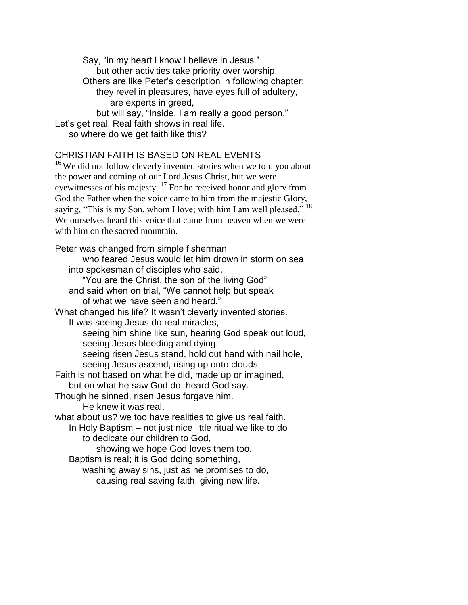Say, "in my heart I know I believe in Jesus." but other activities take priority over worship. Others are like Peter's description in following chapter: they revel in pleasures, have eyes full of adultery, are experts in greed, but will say, "Inside, I am really a good person." Let's get real. Real faith shows in real life. so where do we get faith like this?

### CHRISTIAN FAITH IS BASED ON REAL EVENTS

<sup>16</sup> We did not follow cleverly invented stories when we told you about the power and coming of our Lord Jesus Christ, but we were eyewitnesses of his majesty.<sup>17</sup> For he received honor and glory from God the Father when the voice came to him from the majestic Glory, saying, "This is my Son, whom I love; with him I am well pleased."<sup>18</sup> We ourselves heard this voice that came from heaven when we were with him on the sacred mountain.

Peter was changed from simple fisherman who feared Jesus would let him drown in storm on sea into spokesman of disciples who said, "You are the Christ, the son of the living God" and said when on trial, "We cannot help but speak of what we have seen and heard." What changed his life? It wasn't cleverly invented stories. It was seeing Jesus do real miracles, seeing him shine like sun, hearing God speak out loud, seeing Jesus bleeding and dying, seeing risen Jesus stand, hold out hand with nail hole, seeing Jesus ascend, rising up onto clouds. Faith is not based on what he did, made up or imagined, but on what he saw God do, heard God say. Though he sinned, risen Jesus forgave him. He knew it was real. what about us? we too have realities to give us real faith. In Holy Baptism – not just nice little ritual we like to do to dedicate our children to God, showing we hope God loves them too. Baptism is real; it is God doing something, washing away sins, just as he promises to do,

causing real saving faith, giving new life.